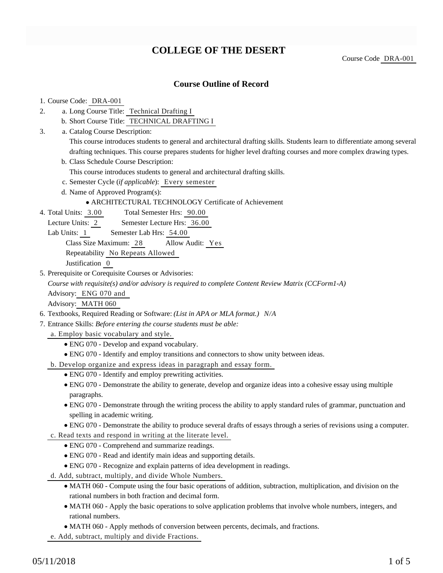# **COLLEGE OF THE DESERT**

Course Code DRA-001

### **Course Outline of Record**

#### 1. Course Code: DRA-001

- a. Long Course Title: Technical Drafting I 2.
	- b. Short Course Title: TECHNICAL DRAFTING I
- Catalog Course Description: a. 3.

This course introduces students to general and architectural drafting skills. Students learn to differentiate among several drafting techniques. This course prepares students for higher level drafting courses and more complex drawing types.

b. Class Schedule Course Description:

This course introduces students to general and architectural drafting skills.

- c. Semester Cycle (*if applicable*): Every semester
- d. Name of Approved Program(s):

ARCHITECTURAL TECHNOLOGY Certificate of Achievement

Total Semester Hrs: 90.00 4. Total Units: 3.00

Lecture Units: 2 Semester Lecture Hrs: 36.00

Lab Units: 1 Semester Lab Hrs: 54.00

Class Size Maximum: 28 Allow Audit: Yes

Repeatability No Repeats Allowed

Justification 0

5. Prerequisite or Corequisite Courses or Advisories:

*Course with requisite(s) and/or advisory is required to complete Content Review Matrix (CCForm1-A)* Advisory: ENG 070 and

Advisory: MATH 060

- 6. Textbooks, Required Reading or Software: *(List in APA or MLA format.) N/A*
- Entrance Skills: *Before entering the course students must be able:* 7.
- a. Employ basic vocabulary and style.
	- ENG 070 Develop and expand vocabulary.
	- ENG 070 Identify and employ transitions and connectors to show unity between ideas.
- b. Develop organize and express ideas in paragraph and essay form.
	- ENG 070 Identify and employ prewriting activities.
	- ENG 070 Demonstrate the ability to generate, develop and organize ideas into a cohesive essay using multiple paragraphs.
	- ENG 070 Demonstrate through the writing process the ability to apply standard rules of grammar, punctuation and spelling in academic writing.
	- ENG 070 Demonstrate the ability to produce several drafts of essays through a series of revisions using a computer.
- c. Read texts and respond in writing at the literate level.
	- ENG 070 Comprehend and summarize readings.
	- ENG 070 Read and identify main ideas and supporting details.
	- ENG 070 Recognize and explain patterns of idea development in readings.
- d. Add, subtract, multiply, and divide Whole Numbers.
	- MATH 060 Compute using the four basic operations of addition, subtraction, multiplication, and division on the rational numbers in both fraction and decimal form.
	- MATH 060 Apply the basic operations to solve application problems that involve whole numbers, integers, and rational numbers.
	- MATH 060 Apply methods of conversion between percents, decimals, and fractions.
- e. Add, subtract, multiply and divide Fractions.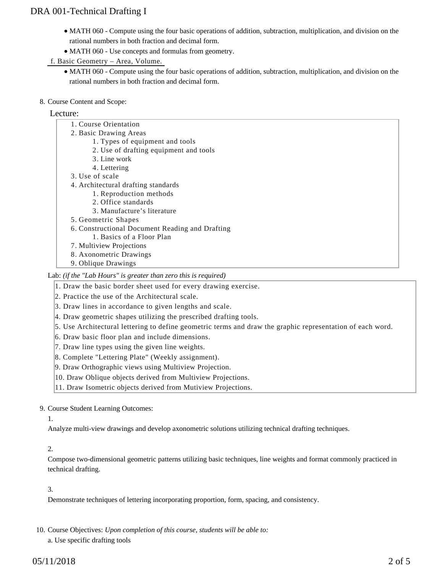# DRA 001-Technical Drafting I

- MATH 060 Compute using the four basic operations of addition, subtraction, multiplication, and division on the rational numbers in both fraction and decimal form.
- MATH 060 Use concepts and formulas from geometry.

f. Basic Geometry – Area, Volume.

- MATH 060 Compute using the four basic operations of addition, subtraction, multiplication, and division on the rational numbers in both fraction and decimal form.
- 8. Course Content and Scope:

### Lecture:

| 1. Course Orientation                           |
|-------------------------------------------------|
| 2. Basic Drawing Areas                          |
| 1. Types of equipment and tools                 |
| 2. Use of drafting equipment and tools          |
| 3. Line work                                    |
| 4. Lettering                                    |
| 3. Use of scale                                 |
| 4. Architectural drafting standards             |
| 1. Reproduction methods                         |
| 2. Office standards                             |
| 3. Manufacture's literature                     |
| 5. Geometric Shapes                             |
| 6. Constructional Document Reading and Drafting |
| 1. Basics of a Floor Plan                       |
| 7. Multiview Projections                        |
| 8. Axonometric Drawings                         |
| 9. Oblique Drawings                             |
|                                                 |

Lab: *(if the "Lab Hours" is greater than zero this is required)*

1. Draw the basic border sheet used for every drawing exercise.

2. Practice the use of the Architectural scale.

3. Draw lines in accordance to given lengths and scale.

4. Draw geometric shapes utilizing the prescribed drafting tools.

5. Use Architectural lettering to define geometric terms and draw the graphic representation of each word.

- 6. Draw basic floor plan and include dimensions.
- 7. Draw line types using the given line weights.
- 8. Complete "Lettering Plate" (Weekly assignment).
- 9. Draw Orthographic views using Multiview Projection.
- 10. Draw Oblique objects derived from Multiview Projections.
- 11. Draw Isometric objects derived from Mutiview Projections.

#### 9. Course Student Learning Outcomes:

### 1.

Analyze multi-view drawings and develop axonometric solutions utilizing technical drafting techniques.

### 2.

Compose two-dimensional geometric patterns utilizing basic techniques, line weights and format commonly practiced in technical drafting.

#### 3.

Demonstrate techniques of lettering incorporating proportion, form, spacing, and consistency.

10. Course Objectives: Upon completion of this course, students will be able to:

a. Use specific drafting tools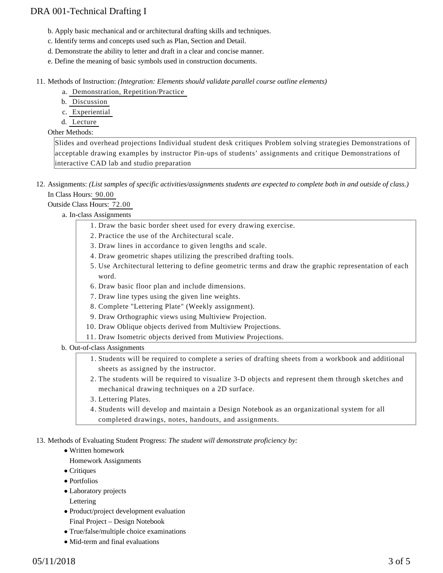# DRA 001-Technical Drafting I

- b. Apply basic mechanical and or architectural drafting skills and techniques.
- c. Identify terms and concepts used such as Plan, Section and Detail.
- d. Demonstrate the ability to letter and draft in a clear and concise manner.
- e. Define the meaning of basic symbols used in construction documents.

11. Methods of Instruction: *(Integration: Elements should validate parallel course outline elements)* 

- a. Demonstration, Repetition/Practice
- b. Discussion
- c. Experiential
- d. Lecture

#### Other Methods:

Slides and overhead projections Individual student desk critiques Problem solving strategies Demonstrations of acceptable drawing examples by instructor Pin-ups of students' assignments and critique Demonstrations of interactive CAD lab and studio preparation

12. Assignments: (List samples of specific activities/assignments students are expected to complete both in and outside of class.) In Class Hours: 90.00

Outside Class Hours: 72.00

a. In-class Assignments

- 1. Draw the basic border sheet used for every drawing exercise.
- 2. Practice the use of the Architectural scale.
- 3. Draw lines in accordance to given lengths and scale.
- 4. Draw geometric shapes utilizing the prescribed drafting tools.
- 5. Use Architectural lettering to define geometric terms and draw the graphic representation of each word.
- 6. Draw basic floor plan and include dimensions.
- 7. Draw line types using the given line weights.
- 8. Complete "Lettering Plate" (Weekly assignment).
- 9. Draw Orthographic views using Multiview Projection.
- 10. Draw Oblique objects derived from Multiview Projections.
- 11. Draw Isometric objects derived from Mutiview Projections.

b. Out-of-class Assignments

- 1. Students will be required to complete a series of drafting sheets from a workbook and additional sheets as assigned by the instructor.
- 2. The students will be required to visualize 3-D objects and represent them through sketches and mechanical drawing techniques on a 2D surface.
- 3. Lettering Plates.
- Students will develop and maintain a Design Notebook as an organizational system for all 4. completed drawings, notes, handouts, and assignments.

13. Methods of Evaluating Student Progress: The student will demonstrate proficiency by:

- Written homework
- Homework Assignments
- Critiques
- Portfolios
- Laboratory projects
- Lettering
- Product/project development evaluation Final Project – Design Notebook
- True/false/multiple choice examinations
- Mid-term and final evaluations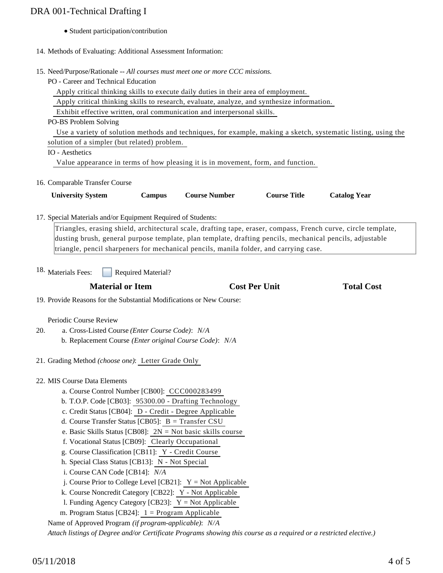# DRA 001-Technical Drafting I

- Student participation/contribution
- 14. Methods of Evaluating: Additional Assessment Information:
- 15. Need/Purpose/Rationale -- All courses must meet one or more CCC missions.
- PO Career and Technical Education

Apply critical thinking skills to execute daily duties in their area of employment.

Apply critical thinking skills to research, evaluate, analyze, and synthesize information.

Exhibit effective written, oral communication and interpersonal skills.

PO-BS Problem Solving

Use a variety of solution methods and techniques, for example, making a sketch, systematic listing, using the

solution of a simpler (but related) problem.

IO - Aesthetics

Value appearance in terms of how pleasing it is in movement, form, and function.

16. Comparable Transfer Course

| <b>University System</b> | Campus | <b>Course Number</b> | <b>Course Title</b> | <b>Catalog Year</b> |
|--------------------------|--------|----------------------|---------------------|---------------------|

17. Special Materials and/or Equipment Required of Students:

Triangles, erasing shield, architectural scale, drafting tape, eraser, compass, French curve, circle template, dusting brush, general purpose template, plan template, drafting pencils, mechanical pencils, adjustable triangle, pencil sharpeners for mechanical pencils, manila folder, and carrying case.

Required Material? 18. Materials Fees:

# **Material or Item Cost Per Unit Total Cost**

19. Provide Reasons for the Substantial Modifications or New Course:

Periodic Course Review

- a. Cross-Listed Course *(Enter Course Code)*: *N/A* b. Replacement Course *(Enter original Course Code)*: *N/A* 20.
- 21. Grading Method *(choose one)*: Letter Grade Only
- 22. MIS Course Data Elements
	- a. Course Control Number [CB00]: CCC000283499
	- b. T.O.P. Code [CB03]: 95300.00 Drafting Technology
	- c. Credit Status [CB04]: D Credit Degree Applicable
	- d. Course Transfer Status [CB05]: B = Transfer CSU
	- e. Basic Skills Status [CB08]: 2N = Not basic skills course
	- f. Vocational Status [CB09]: Clearly Occupational
	- g. Course Classification [CB11]: Y Credit Course
	- h. Special Class Status [CB13]: N Not Special
	- i. Course CAN Code [CB14]: *N/A*
	- j. Course Prior to College Level [CB21]: Y = Not Applicable
	- k. Course Noncredit Category [CB22]: Y Not Applicable
	- l. Funding Agency Category [CB23]: Y = Not Applicable
	- m. Program Status [CB24]: 1 = Program Applicable

Name of Approved Program *(if program-applicable)*: *N/A*

*Attach listings of Degree and/or Certificate Programs showing this course as a required or a restricted elective.)*